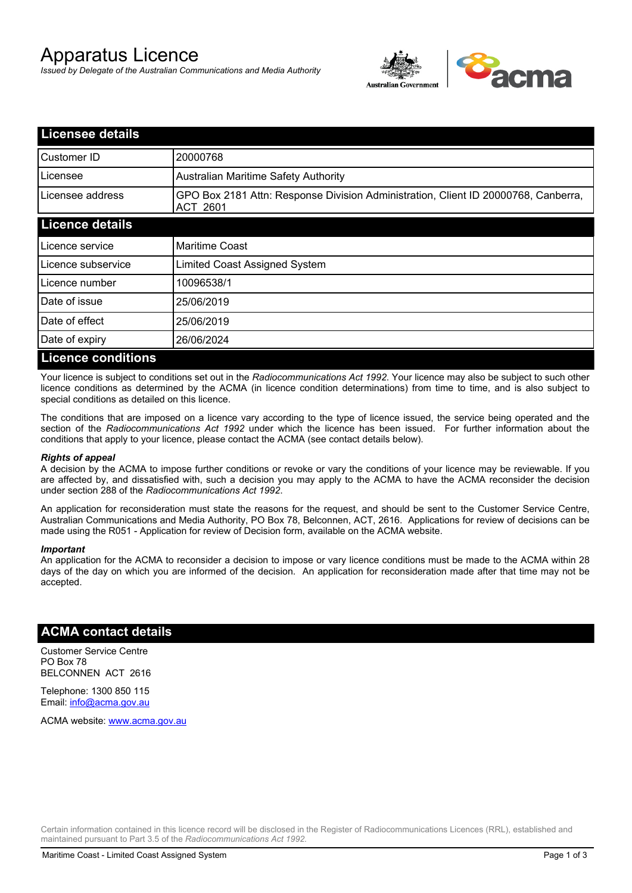# Apparatus Licence

*Issued by Delegate of the Australian Communications and Media Authority*



| <b>Licensee details</b>   |                                                                                                |
|---------------------------|------------------------------------------------------------------------------------------------|
| Customer ID               | 20000768                                                                                       |
| Licensee                  | <b>Australian Maritime Safety Authority</b>                                                    |
| Licensee address          | GPO Box 2181 Attn: Response Division Administration, Client ID 20000768, Canberra,<br>ACT 2601 |
| <b>Licence details</b>    |                                                                                                |
| Licence service           | <b>Maritime Coast</b>                                                                          |
| Licence subservice        | Limited Coast Assigned System                                                                  |
| Licence number            | 10096538/1                                                                                     |
| Date of issue             | 25/06/2019                                                                                     |
| Date of effect            | 25/06/2019                                                                                     |
| Date of expiry            | 26/06/2024                                                                                     |
| <b>Licence conditions</b> |                                                                                                |

Your licence is subject to conditions set out in the *Radiocommunications Act 1992*. Your licence may also be subject to such other licence conditions as determined by the ACMA (in licence condition determinations) from time to time, and is also subject to special conditions as detailed on this licence.

The conditions that are imposed on a licence vary according to the type of licence issued, the service being operated and the section of the *Radiocommunications Act 1992* under which the licence has been issued. For further information about the conditions that apply to your licence, please contact the ACMA (see contact details below).

#### *Rights of appeal*

A decision by the ACMA to impose further conditions or revoke or vary the conditions of your licence may be reviewable. If you are affected by, and dissatisfied with, such a decision you may apply to the ACMA to have the ACMA reconsider the decision under section 288 of the *Radiocommunications Act 1992*.

An application for reconsideration must state the reasons for the request, and should be sent to the Customer Service Centre, Australian Communications and Media Authority, PO Box 78, Belconnen, ACT, 2616. Applications for review of decisions can be made using the R051 - Application for review of Decision form, available on the ACMA website.

#### *Important*

An application for the ACMA to reconsider a decision to impose or vary licence conditions must be made to the ACMA within 28 days of the day on which you are informed of the decision. An application for reconsideration made after that time may not be accepted.

### **ACMA contact details**

Customer Service Centre PO Box 78 BELCONNEN ACT 2616

Telephone: 1300 850 115 Email: info@acma.gov.au

ACMA website: www.acma.gov.au

Certain information contained in this licence record will be disclosed in the Register of Radiocommunications Licences (RRL), established and maintained pursuant to Part 3.5 of the *Radiocommunications Act 1992.*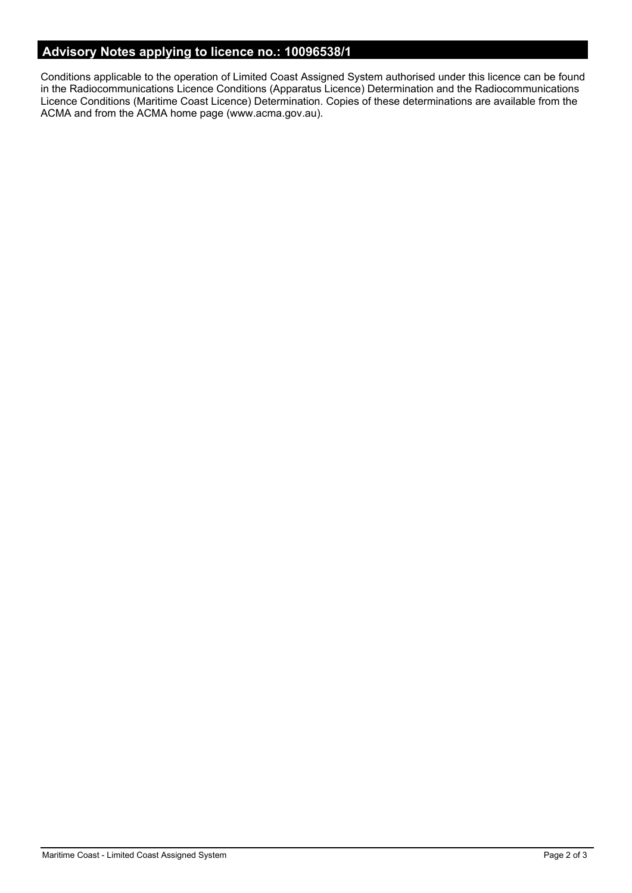# **Advisory Notes applying to licence no.: 10096538/1**

Conditions applicable to the operation of Limited Coast Assigned System authorised under this licence can be found in the Radiocommunications Licence Conditions (Apparatus Licence) Determination and the Radiocommunications Licence Conditions (Maritime Coast Licence) Determination. Copies of these determinations are available from the ACMA and from the ACMA home page (www.acma.gov.au).